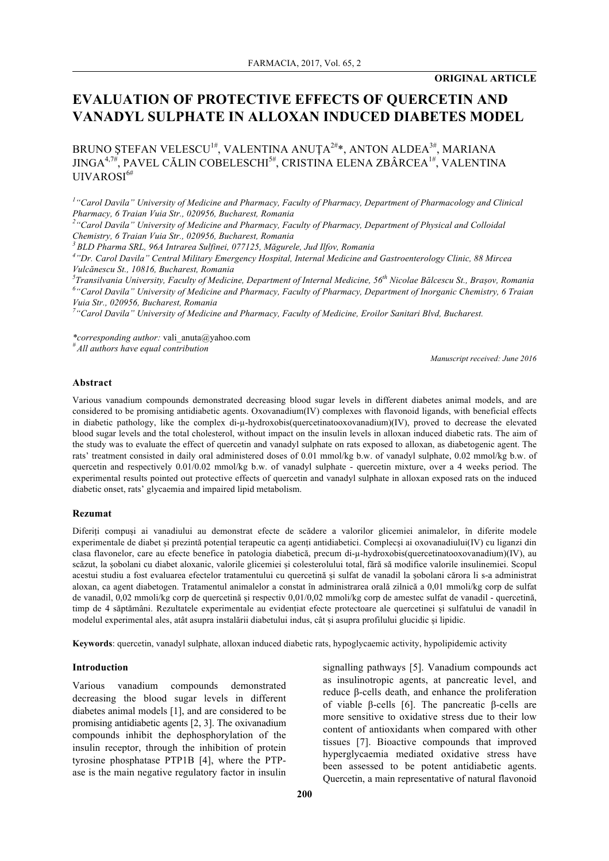# **EVALUATION OF PROTECTIVE EFFECTS OF QUERCETIN AND VANADYL SULPHATE IN ALLOXAN INDUCED DIABETES MODEL**

BRUNO ȘTEFAN VELESCU $^{\scriptscriptstyle 1\#}$ , VALENTINA ANUȚA $^{\scriptscriptstyle 2\#}$ \*, ANTON ALDEA $^{\scriptscriptstyle 3\#}$ , MARIANA JINGA $^{4,7\#},$  PAVEL CĂLIN COBELESCHI $^{5\#},$  CRISTINA ELENA ZBÂRCEA $^{1\#},$  VALENTINA UIVAROSI 6#

<sup>1</sup> "Carol Davila" University of Medicine and Pharmacy, Faculty of Pharmacy, Department of Pharmacology and Clinical *Pharmacy, 6 Traian Vuia Str., 020956, Bucharest, Romania 2*

*"Carol Davila" University of Medicine and Pharmacy, Faculty of Pharmacy, Department of Physical and Colloidal Chemistry, 6 Traian Vuia Str., 020956, Bucharest, Romania 3 BLD Pharma SRL, 96A Intrarea Sulfinei, 077125, Măgurele, Jud Ilfov, Romania*

*4 "Dr. Carol Davila" Central Military Emergency Hospital, Internal Medicine and Gastroenterology Clinic, 88 Mircea Vulcănescu St., 10816, Bucharest, Romania*

*5 Transilvania University, Faculty of Medicine, Department of Internal Medicine, 56th Nicolae Bălcescu St., Brașov, Romania 6 "Carol Davila" University of Medicine and Pharmacy, Faculty of Pharmacy, Department of Inorganic Chemistry, 6 Traian Vuia Str., 020956, Bucharest, Romania* 

*7 "Carol Davila" University of Medicine and Pharmacy, Faculty of Medicine, Eroilor Sanitari Blvd, Bucharest.*

*\*corresponding author:* vali\_anuta@yahoo.com

*# All authors have equal contribution*

*Manuscript received: June 2016*

## **Abstract**

Various vanadium compounds demonstrated decreasing blood sugar levels in different diabetes animal models, and are considered to be promising antidiabetic agents. Oxovanadium(IV) complexes with flavonoid ligands, with beneficial effects in diabetic pathology, like the complex di-µ-hydroxobis(quercetinatooxovanadium)(IV), proved to decrease the elevated blood sugar levels and the total cholesterol, without impact on the insulin levels in alloxan induced diabetic rats. The aim of the study was to evaluate the effect of quercetin and vanadyl sulphate on rats exposed to alloxan, as diabetogenic agent. The rats' treatment consisted in daily oral administered doses of 0.01 mmol/kg b.w. of vanadyl sulphate, 0.02 mmol/kg b.w. of quercetin and respectively 0.01/0.02 mmol/kg b.w. of vanadyl sulphate - quercetin mixture, over a 4 weeks period. The experimental results pointed out protective effects of quercetin and vanadyl sulphate in alloxan exposed rats on the induced diabetic onset, rats' glycaemia and impaired lipid metabolism.

#### **Rezumat**

Diferiți compuși ai vanadiului au demonstrat efecte de scădere a valorilor glicemiei animalelor, în diferite modele experimentale de diabet și prezintă potențial terapeutic ca agenți antidiabetici. Complecși ai oxovanadiului(IV) cu liganzi din clasa flavonelor, care au efecte benefice în patologia diabetică, precum di-µ-hydroxobis(quercetinatooxovanadium)(IV), au scăzut, la șobolani cu diabet aloxanic, valorile glicemiei și colesterolului total, fără să modifice valorile insulinemiei. Scopul acestui studiu a fost evaluarea efectelor tratamentului cu quercetină și sulfat de vanadil la șobolani cărora li s-a administrat aloxan, ca agent diabetogen. Tratamentul animalelor a constat în administrarea orală zilnică a 0,01 mmoli/kg corp de sulfat de vanadil, 0,02 mmoli/kg corp de quercetină și respectiv 0,01/0,02 mmoli/kg corp de amestec sulfat de vanadil - quercetină, timp de 4 săptămâni. Rezultatele experimentale au evidențiat efecte protectoare ale quercetinei și sulfatului de vanadil în modelul experimental ales, atât asupra instalării diabetului indus, cât și asupra profilului glucidic și lipidic.

**Keywords**: quercetin, vanadyl sulphate, alloxan induced diabetic rats, hypoglycaemic activity, hypolipidemic activity

#### **Introduction**

Various vanadium compounds demonstrated decreasing the blood sugar levels in different diabetes animal models [1], and are considered to be promising antidiabetic agents [2, 3]. The oxivanadium compounds inhibit the dephosphorylation of the insulin receptor, through the inhibition of protein tyrosine phosphatase PTP1B [4], where the PTPase is the main negative regulatory factor in insulin signalling pathways [5]. Vanadium compounds act as insulinotropic agents, at pancreatic level, and reduce β-cells death, and enhance the proliferation of viable β-cells [6]. The pancreatic β-cells are more sensitive to oxidative stress due to their low content of antioxidants when compared with other tissues [7]. Bioactive compounds that improved hyperglycaemia mediated oxidative stress have been assessed to be potent antidiabetic agents. Quercetin, a main representative of natural flavonoid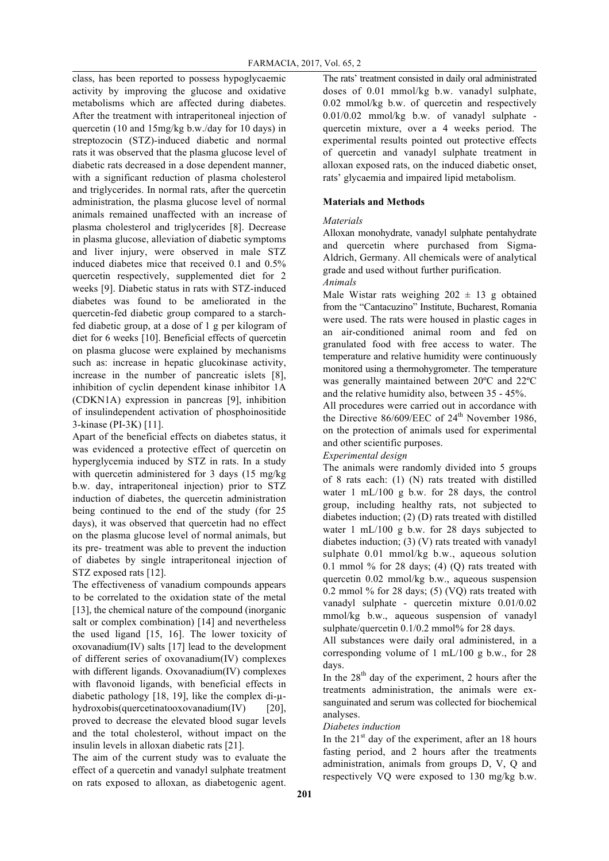class, has been reported to possess hypoglycaemic activity by improving the glucose and oxidative metabolisms which are affected during diabetes. After the treatment with intraperitoneal injection of quercetin (10 and 15mg/kg b.w./day for 10 days) in streptozocin (STZ)-induced diabetic and normal rats it was observed that the plasma glucose level of diabetic rats decreased in a dose dependent manner, with a significant reduction of plasma cholesterol and triglycerides. In normal rats, after the quercetin administration, the plasma glucose level of normal animals remained unaffected with an increase of plasma cholesterol and triglycerides [8]. Decrease in plasma glucose, alleviation of diabetic symptoms and liver injury, were observed in male STZ induced diabetes mice that received 0.1 and 0.5% quercetin respectively, supplemented diet for 2 weeks [9]. Diabetic status in rats with STZ-induced diabetes was found to be ameliorated in the quercetin-fed diabetic group compared to a starchfed diabetic group, at a dose of 1 g per kilogram of diet for 6 weeks [10]. Beneficial effects of quercetin on plasma glucose were explained by mechanisms such as: increase in hepatic glucokinase activity, increase in the number of pancreatic islets [8], inhibition of cyclin dependent kinase inhibitor 1A (CDKN1A) expression in pancreas [9], inhibition of insulindependent activation of phosphoinositide 3-kinase (PI-3K) [11].

Apart of the beneficial effects on diabetes status, it was evidenced a protective effect of quercetin on hyperglycemia induced by STZ in rats. In a study with quercetin administered for 3 days (15 mg/kg b.w. day, intraperitoneal injection) prior to STZ induction of diabetes, the quercetin administration being continued to the end of the study (for 25 days), it was observed that quercetin had no effect on the plasma glucose level of normal animals, but its pre- treatment was able to prevent the induction of diabetes by single intraperitoneal injection of STZ exposed rats [12].

The effectiveness of vanadium compounds appears to be correlated to the oxidation state of the metal [13], the chemical nature of the compound (inorganic salt or complex combination) [14] and nevertheless the used ligand [15, 16]. The lower toxicity of oxovanadium(IV) salts [17] lead to the development of different series of oxovanadium(IV) complexes with different ligands. Oxovanadium(IV) complexes with flavonoid ligands, with beneficial effects in diabetic pathology [18, 19], like the complex di-µhydroxobis(quercetinatooxovanadium(IV) [20], proved to decrease the elevated blood sugar levels and the total cholesterol, without impact on the insulin levels in alloxan diabetic rats [21].

The aim of the current study was to evaluate the effect of a quercetin and vanadyl sulphate treatment on rats exposed to alloxan, as diabetogenic agent.

The rats' treatment consisted in daily oral administrated doses of 0.01 mmol/kg b.w. vanadyl sulphate, 0.02 mmol/kg b.w. of quercetin and respectively 0.01/0.02 mmol/kg b.w. of vanadyl sulphate quercetin mixture, over a 4 weeks period. The experimental results pointed out protective effects of quercetin and vanadyl sulphate treatment in alloxan exposed rats, on the induced diabetic onset, rats' glycaemia and impaired lipid metabolism.

# **Materials and Methods**

# *Materials*

Alloxan monohydrate, vanadyl sulphate pentahydrate and quercetin where purchased from Sigma-Aldrich, Germany. All chemicals were of analytical grade and used without further purification. *Animals*

Male Wistar rats weighing  $202 \pm 13$  g obtained from the "Cantacuzino" Institute, Bucharest, Romania were used. The rats were housed in plastic cages in an air-conditioned animal room and fed on granulated food with free access to water. The temperature and relative humidity were continuously monitored using a thermohygrometer. The temperature was generally maintained between 20ºC and 22ºC and the relative humidity also, between 35 - 45%.

All procedures were carried out in accordance with the Directive  $86/609/EEC$  of  $24<sup>th</sup>$  November 1986, on the protection of animals used for experimental and other scientific purposes.

# *Experimental design*

The animals were randomly divided into 5 groups of 8 rats each: (1) (N) rats treated with distilled water 1 mL/100 g b.w. for 28 days, the control group, including healthy rats, not subjected to diabetes induction; (2) (D) rats treated with distilled water 1 mL/100 g b.w. for 28 days subjected to diabetes induction; (3) (V) rats treated with vanadyl sulphate 0.01 mmol/kg b.w., aqueous solution 0.1 mmol  $%$  for 28 days; (4) (Q) rats treated with quercetin 0.02 mmol/kg b.w., aqueous suspension 0.2 mmol  $\%$  for 28 days; (5) (VQ) rats treated with vanadyl sulphate - quercetin mixture 0.01/0.02 mmol/kg b.w., aqueous suspension of vanadyl sulphate/quercetin 0.1/0.2 mmol% for 28 days.

All substances were daily oral administered, in a corresponding volume of 1 mL/100 g b.w., for 28 days.

In the  $28<sup>th</sup>$  day of the experiment, 2 hours after the treatments administration, the animals were exsanguinated and serum was collected for biochemical analyses.

## *Diabetes induction*

In the  $21<sup>st</sup>$  day of the experiment, after an 18 hours fasting period, and 2 hours after the treatments administration, animals from groups D, V, Q and respectively VQ were exposed to 130 mg/kg b.w.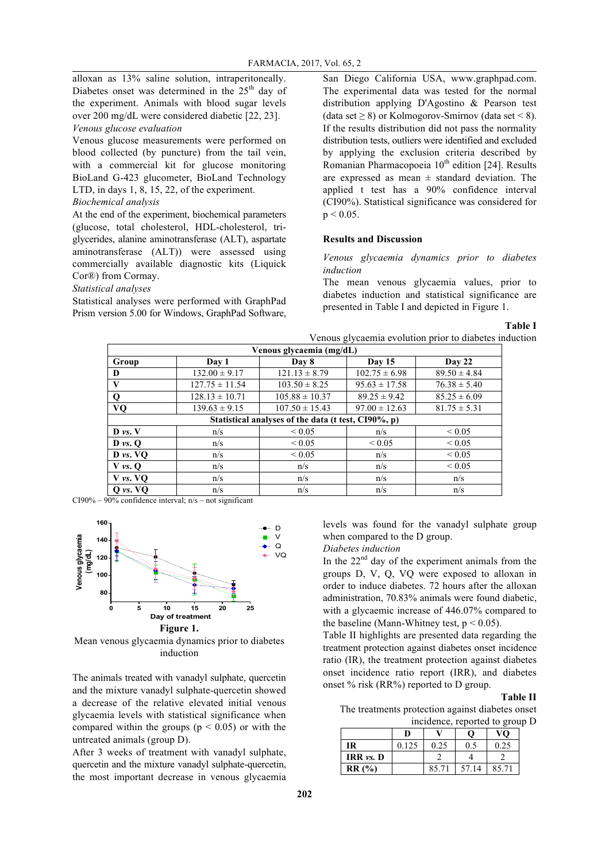alloxan as 13% saline solution, intraperitoneally. Diabetes onset was determined in the  $25<sup>th</sup>$  day of the experiment. Animals with blood sugar levels over 200 mg/dL were considered diabetic [22, 23].

#### *Venous glucose evaluation*

Venous glucose measurements were performed on blood collected (by puncture) from the tail vein, with a commercial kit for glucose monitoring BioLand G-423 glucometer, BioLand Technology LTD, in days 1, 8, 15, 22, of the experiment. *Biochemical analysis*

At the end of the experiment, biochemical parameters (glucose, total cholesterol, HDL-cholesterol, triglycerides, alanine aminotransferase (ALT), aspartate aminotransferase (ALT)) were assessed using commercially available diagnostic kits (Liquick Cor®) from Cormay.

*Statistical analyses*

Statistical analyses were performed with GraphPad Prism version 5.00 for Windows, GraphPad Software, San Diego California USA, www.graphpad.com. The experimental data was tested for the normal distribution applying D'Agostino & Pearson test (data set  $\geq$  8) or Kolmogorov-Smirnov (data set < 8). If the results distribution did not pass the normality distribution tests, outliers were identified and excluded by applying the exclusion criteria described by Romanian Pharmacopoeia  $10^{th}$  edition [24]. Results are expressed as mean  $\pm$  standard deviation. The applied t test has a 90% confidence interval (CI90%). Statistical significance was considered for  $p < 0.05$ .

### **Results and Discussion**

*Venous glycaemia dynamics prior to diabetes induction*

The mean venous glycaemia values, prior to diabetes induction and statistical significance are presented in Table I and depicted in Figure 1.

## **Table I**

|                               |                    |                                                     | Venous glycaemia evolution prior to diabetes induction |                  |
|-------------------------------|--------------------|-----------------------------------------------------|--------------------------------------------------------|------------------|
|                               |                    | Venous glycaemia (mg/dL)                            |                                                        |                  |
| Group                         | Day 1              | Day 8                                               | <b>Day 15</b>                                          | Day 22           |
| D                             | $132.00 \pm 9.17$  | $121.13 \pm 8.79$                                   | $102.75 \pm 6.98$                                      | $89.50 \pm 4.84$ |
| V                             | $127.75 \pm 11.54$ | $103.50 \pm 8.25$                                   | $95.63 \pm 17.58$                                      | $76.38 \pm 5.40$ |
| $\mathbf 0$                   | $128.13 \pm 10.71$ | $105.88 \pm 10.37$                                  | $89.25 \pm 9.42$                                       | $85.25 \pm 6.09$ |
| VQ                            | $139.63 \pm 9.15$  | $107.50 \pm 15.43$                                  | $97.00 \pm 12.63$                                      | $81.75 \pm 5.31$ |
|                               |                    | Statistical analyses of the data (t test, CI90%, p) |                                                        |                  |
| $\mathbf{D}$ vs. $\mathbf{V}$ | n/s                | ${}_{\leq 0.05}$                                    | n/s                                                    | ${}_{\leq 0.05}$ |
| $\bf{D}$ vs. $\bf{O}$         | n/s                | ${}_{0.05}$                                         | ${}_{0.05}$                                            | ${}_{0.05}$      |
| $D \nu s. VQ$                 | n/s                | ${}_{0.05}$                                         | n/s                                                    | ${}_{0.05}$      |
| $V$ vs. $\Omega$              | n/s                | n/s                                                 | n/s                                                    | ${}_{\leq 0.05}$ |
| $V$ vs. $VQ$                  | n/s                | n/s                                                 | n/s                                                    | n/s              |
| Q vs. VQ                      | n/s                | n/s                                                 | n/s                                                    | n/s              |

 $CI90\% - 90\%$  confidence interval;  $n/s - not$  significant



Mean venous glycaemia dynamics prior to diabetes induction

The animals treated with vanadyl sulphate, quercetin and the mixture vanadyl sulphate-quercetin showed a decrease of the relative elevated initial venous glycaemia levels with statistical significance when compared within the groups ( $p < 0.05$ ) or with the untreated animals (group D).

After 3 weeks of treatment with vanadyl sulphate, quercetin and the mixture vanadyl sulphate-quercetin, the most important decrease in venous glycaemia

levels was found for the vanadyl sulphate group when compared to the D group.

## *Diabetes induction*

In the  $22<sup>nd</sup>$  day of the experiment animals from the groups D, V, Q, VQ were exposed to alloxan in order to induce diabetes. 72 hours after the alloxan administration, 70.83% animals were found diabetic, with a glycaemic increase of 446.07% compared to the baseline (Mann-Whitney test,  $p < 0.05$ ).

Table II highlights are presented data regarding the treatment protection against diabetes onset incidence ratio (IR), the treatment protection against diabetes onset incidence ratio report (IRR), and diabetes onset % risk (RR%) reported to D group.

### **Table II**

The treatments protection against diabetes onset incidence, reported to group D

|             | D     |       | O     | VO    |
|-------------|-------|-------|-------|-------|
| IR          | 0.125 | 0.25  | 0.5   | 0.25  |
| IRR $vs. D$ |       |       |       |       |
| RR(%)       |       | 85.71 | 57.14 | 85.71 |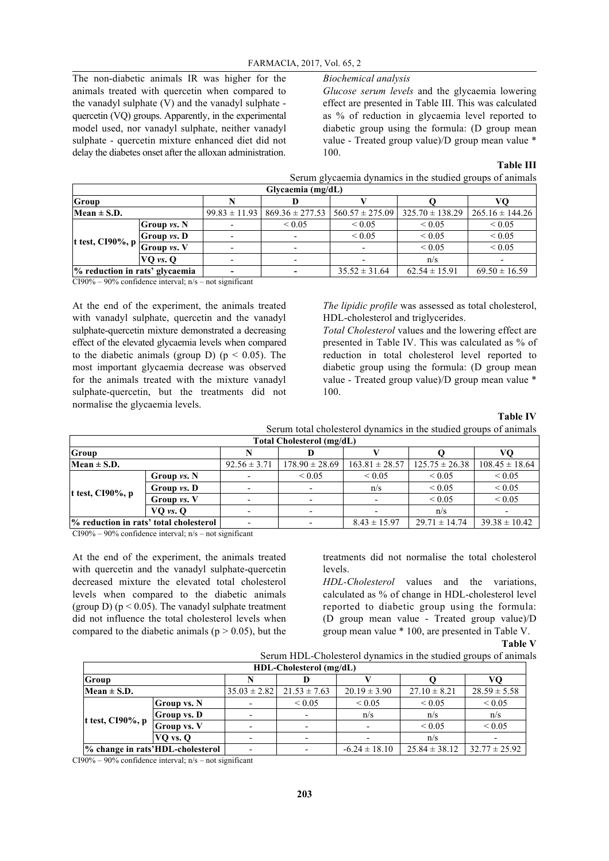The non-diabetic animals IR was higher for the animals treated with quercetin when compared to the vanadyl sulphate (V) and the vanadyl sulphate quercetin (VQ) groups. Apparently, in the experimental model used, nor vanadyl sulphate, neither vanadyl sulphate - quercetin mixture enhanced diet did not delay the diabetes onset after the alloxan administration.

# *Biochemical analysis*

*Glucose serum levels* and the glycaemia lowering effect are presented in Table III. This was calculated as % of reduction in glycaemia level reported to diabetic group using the formula: (D group mean value - Treated group value)/D group mean value \* 100.

#### **Table III**

|                        |  | Serum glycaemia dynamics in the studied groups of animals |
|------------------------|--|-----------------------------------------------------------|
| $G$ lycaemia $(mg/dL)$ |  |                                                           |
|                        |  | vο                                                        |

| Group                                        |                    |                                                               |                   |                     |                     |
|----------------------------------------------|--------------------|---------------------------------------------------------------|-------------------|---------------------|---------------------|
| Mean $\pm$ S.D.                              |                    | $99.83 \pm 11.93$   $869.36 \pm 277.53$   $560.57 \pm 275.09$ |                   | $325.70 \pm 138.29$ | $265.16 \pm 144.26$ |
|                                              | Group <i>vs.</i> N | ${}_{0.05}$                                                   | ${}_{0.05}$       | ${}_{0.05}$         | ${}_{0.05}$         |
|                                              | Group vs. D        |                                                               | ${}_{0.05}$       | ${}_{0.05}$         | ${}_{0.05}$         |
| It test, CI90%, p $\mathop{\upharpoonright}$ | Group vs. V        |                                                               |                   | ${}_{0.05}$         | ${}_{0.05}$         |
|                                              | $VO$ vs. $O$       |                                                               |                   | n/s                 |                     |
| % reduction in rats' glycaemia               |                    |                                                               | $35.52 \pm 31.64$ | $62.54 \pm 15.91$   | $69.50 \pm 16.59$   |

 $CI90\% - 90\%$  confidence interval;  $n/s - not$  significant

At the end of the experiment, the animals treated with vanadyl sulphate, quercetin and the vanadyl sulphate-quercetin mixture demonstrated a decreasing effect of the elevated glycaemia levels when compared to the diabetic animals (group D) ( $p < 0.05$ ). The most important glycaemia decrease was observed for the animals treated with the mixture vanadyl sulphate-quercetin, but the treatments did not normalise the glycaemia levels.

*The lipidic profile* was assessed as total cholesterol, HDL-cholesterol and triglycerides.

*Total Cholesterol* values and the lowering effect are presented in Table IV. This was calculated as % of reduction in total cholesterol level reported to diabetic group using the formula: (D group mean value - Treated group value)/D group mean value \* 100.

**Table IV**

| Serum total cholesterol dynamics in the studied groups of animals<br>8. I CI I . I . 1 . 11 I . |  |  |  |
|-------------------------------------------------------------------------------------------------|--|--|--|
|                                                                                                 |  |  |  |

| Total Cholesterol (mg/dL)                                       |                    |                          |                          |                    |                    |                    |  |  |  |
|-----------------------------------------------------------------|--------------------|--------------------------|--------------------------|--------------------|--------------------|--------------------|--|--|--|
| Group                                                           |                    |                          |                          |                    |                    |                    |  |  |  |
| $Mean \pm S.D.$                                                 |                    | $92.56 \pm 3.71$         | $178.90 \pm 28.69$       | $163.81 \pm 28.57$ | $125.75 \pm 26.38$ | $108.45 \pm 18.64$ |  |  |  |
|                                                                 | Group $vs. N$      | $\overline{\phantom{a}}$ | ${}_{0.05}$              | ${}_{0.05}$        | ${}_{0.05}$        | ${}_{0.05}$        |  |  |  |
| t test, $C190\%$ , p                                            | Group <i>vs.</i> D | $\overline{\phantom{a}}$ | $\overline{\phantom{a}}$ | n/s                | ${}_{0.05}$        | ${}< 0.05$         |  |  |  |
|                                                                 | Group $vs. V$      |                          | $\overline{\phantom{a}}$ |                    | ${}_{0.05}$        | ${}< 0.05$         |  |  |  |
|                                                                 | $VQ$ vs. $Q$       |                          |                          |                    | n/s                |                    |  |  |  |
| % reduction in rats' total cholesterol<br>$8.43 \pm 15.97$<br>٠ |                    | $29.71 \pm 14.74$        | $39.38 \pm 10.42$        |                    |                    |                    |  |  |  |

CI90% – 90% confidence interval; n/s – not significant

At the end of the experiment, the animals treated with quercetin and the vanadyl sulphate-quercetin decreased mixture the elevated total cholesterol levels when compared to the diabetic animals (group D) ( $p < 0.05$ ). The vanadyl sulphate treatment did not influence the total cholesterol levels when compared to the diabetic animals ( $p > 0.05$ ), but the treatments did not normalise the total cholesterol levels.

*HDL-Cholesterol* values and the variations, calculated as % of change in HDL-cholesterol level reported to diabetic group using the formula: (D group mean value - Treated group value)/D group mean value \* 100, are presented in Table V.

**Table V**

| Serum HDL-Cholesterol dynamics in the studied groups of animals |  |  |  |
|-----------------------------------------------------------------|--|--|--|
|-----------------------------------------------------------------|--|--|--|

| HDL-Cholesterol (mg/dL)          |                    |                          |                  |                   |                   |                   |  |  |
|----------------------------------|--------------------|--------------------------|------------------|-------------------|-------------------|-------------------|--|--|
| Group                            |                    |                          |                  |                   |                   |                   |  |  |
| $Mean \pm S.D.$                  |                    | $35.03 \pm 2.82$         | $21.53 \pm 7.63$ | $20.19 \pm 3.90$  | $27.10 \pm 8.21$  | $28.59 \pm 5.58$  |  |  |
|                                  | <b>Group</b> vs. N |                          | ${}_{0.05}$      | ${}_{0.05}$       | ${}< 0.05$        | ${}< 0.05$        |  |  |
|                                  | <b>Group</b> vs. D | $\overline{\phantom{a}}$ |                  | n/s               | n/s               | n/s               |  |  |
| t test, $C190\%$ , p             | Group vs. V        |                          |                  |                   | ${}_{0.05}$       | ${}< 0.05$        |  |  |
|                                  | $VO$ vs. $O$       | $\overline{\phantom{0}}$ |                  |                   | n/s               |                   |  |  |
| % change in rats'HDL-cholesterol |                    |                          |                  | $-6.24 \pm 18.10$ | $25.84 \pm 38.12$ | $32.77 \pm 25.92$ |  |  |

 $CI90\% - 90\%$  confidence interval;  $n/s - not$  significant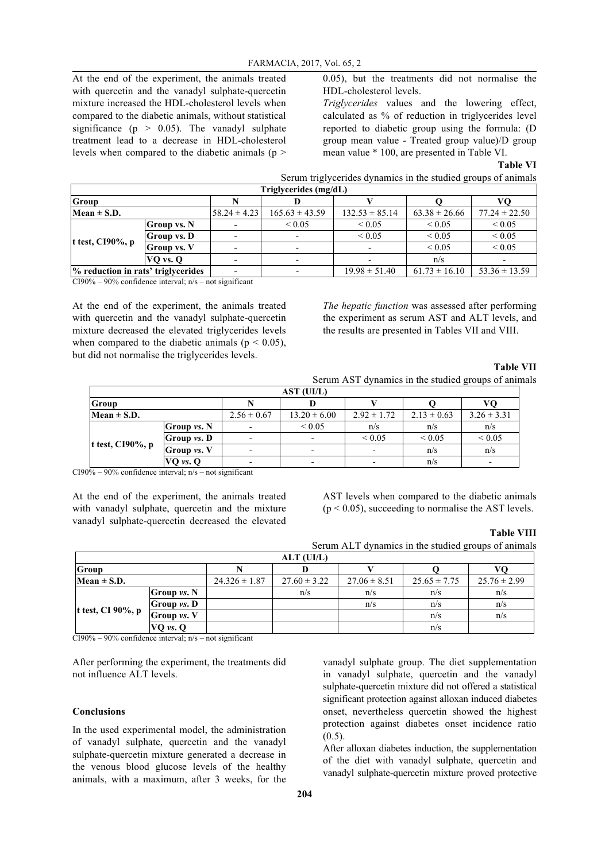At the end of the experiment, the animals treated with quercetin and the vanadyl sulphate-quercetin mixture increased the HDL-cholesterol levels when compared to the diabetic animals, without statistical significance ( $p > 0.05$ ). The vanadyl sulphate treatment lead to a decrease in HDL-cholesterol levels when compared to the diabetic animals (p >

0.05), but the treatments did not normalise the HDL-cholesterol levels.

*Triglycerides* values and the lowering effect, calculated as % of reduction in triglycerides level reported to diabetic group using the formula: (D group mean value - Treated group value)/D group mean value \* 100, are presented in Table VI.

#### **Table VI**

| Serum triglycerides dynamics in the studied groups of animals |  |
|---------------------------------------------------------------|--|
| Triglycerides (mg/dL)                                         |  |

| --                                 |                    |                          |                    |                    |                   |                   |
|------------------------------------|--------------------|--------------------------|--------------------|--------------------|-------------------|-------------------|
| Group                              |                    |                          |                    |                    |                   |                   |
| $Mean \pm S.D.$                    |                    | $58.24 \pm 4.23$         | $165.63 \pm 43.59$ | $132.53 \pm 85.14$ | $63.38 \pm 26.66$ | $77.24 \pm 22.50$ |
|                                    | <b>Group</b> vs. N |                          | ${}_{0.05}$        | ${}_{0.05}$        | ${}< 0.05$        | ${}_{0.05}$       |
|                                    | Group vs. D        | $\overline{\phantom{a}}$ |                    | ${}_{0.05}$        | ${}< 0.05$        | ${}_{0.05}$       |
| t test, $C190\%$ , p               | <b>Group vs. V</b> |                          |                    |                    | ${}< 0.05$        | ${}_{0.05}$       |
|                                    | VQ vs. Q           |                          |                    |                    | n/s               |                   |
| % reduction in rats' triglycerides |                    | $\overline{\phantom{0}}$ |                    | $19.98 \pm 51.40$  | $61.73 \pm 16.10$ | $53.36 \pm 13.59$ |

CI90% – 90% confidence interval:  $n/s$  – not significant

At the end of the experiment, the animals treated with quercetin and the vanadyl sulphate-quercetin mixture decreased the elevated triglycerides levels when compared to the diabetic animals ( $p < 0.05$ ), but did not normalise the triglycerides levels.

*The hepatic function* was assessed after performing the experiment as serum AST and ALT levels, and the results are presented in Tables VII and VIII.

# **Table VII** Serum AST dynamics in the studied groups of animals

| AST (UI/L)           |                    |                 |                          |                          |                 |                 |  |  |  |
|----------------------|--------------------|-----------------|--------------------------|--------------------------|-----------------|-----------------|--|--|--|
| <b>Group</b>         |                    |                 |                          |                          |                 |                 |  |  |  |
| $Mean \pm S.D.$      |                    | $2.56 \pm 0.67$ | $13.20 \pm 6.00$         | $2.92 \pm 1.72$          | $2.13 \pm 0.63$ | $3.26 \pm 3.31$ |  |  |  |
| t test, $C190\%$ , p | Group <i>vs.</i> N |                 | ${}_{0.05}$              | n/s                      | n/s             | n/s             |  |  |  |
|                      | Group vs. D        |                 | $\overline{\phantom{0}}$ | ${}_{0.05}$              | ${}_{0.05}$     | ${}_{0.05}$     |  |  |  |
|                      | Group vs. V        |                 |                          | $\overline{\phantom{0}}$ | n/s             | n/s             |  |  |  |
|                      | VQ vs. Q           |                 |                          |                          | n/s             |                 |  |  |  |

 $CI90\% - 90\%$  confidence interval;  $n/s - not$  significant

At the end of the experiment, the animals treated with vanadyl sulphate, quercetin and the mixture vanadyl sulphate-quercetin decreased the elevated AST levels when compared to the diabetic animals  $(p < 0.05)$ , succeeding to normalise the AST levels.

## **Table VIII**

Serum ALT dynamics in the studied groups of animals

| ALT (UI/L)        |              |                   |                  |                  |                  |                  |  |  |  |
|-------------------|--------------|-------------------|------------------|------------------|------------------|------------------|--|--|--|
| Group             |              |                   |                  |                  |                  |                  |  |  |  |
| Mean $\pm$ S.D.   |              | $24.326 \pm 1.87$ | $27.60 \pm 3.22$ | $27.06 \pm 8.51$ | $25.65 \pm 7.75$ | $25.76 \pm 2.99$ |  |  |  |
| t test, CI 90%, p | Group vs. N  |                   | n/s              | n/s              | n/s              | n/s              |  |  |  |
|                   | Group vs. D  |                   |                  | n/s              | n/s              | n/s              |  |  |  |
|                   | Group vs. V  |                   |                  |                  | n/s              | n/s              |  |  |  |
|                   | $VQ$ vs. $Q$ |                   |                  |                  | n/s              |                  |  |  |  |

 $CI90\% - 90\%$  confidence interval;  $n/s - not$  significant

After performing the experiment, the treatments did not influence ALT levels.

### **Conclusions**

In the used experimental model, the administration of vanadyl sulphate, quercetin and the vanadyl sulphate-quercetin mixture generated a decrease in the venous blood glucose levels of the healthy animals, with a maximum, after 3 weeks, for the vanadyl sulphate group. The diet supplementation in vanadyl sulphate, quercetin and the vanadyl sulphate-quercetin mixture did not offered a statistical significant protection against alloxan induced diabetes onset, nevertheless quercetin showed the highest protection against diabetes onset incidence ratio  $(0.5)$ .

After alloxan diabetes induction, the supplementation of the diet with vanadyl sulphate, quercetin and vanadyl sulphate-quercetin mixture proved protective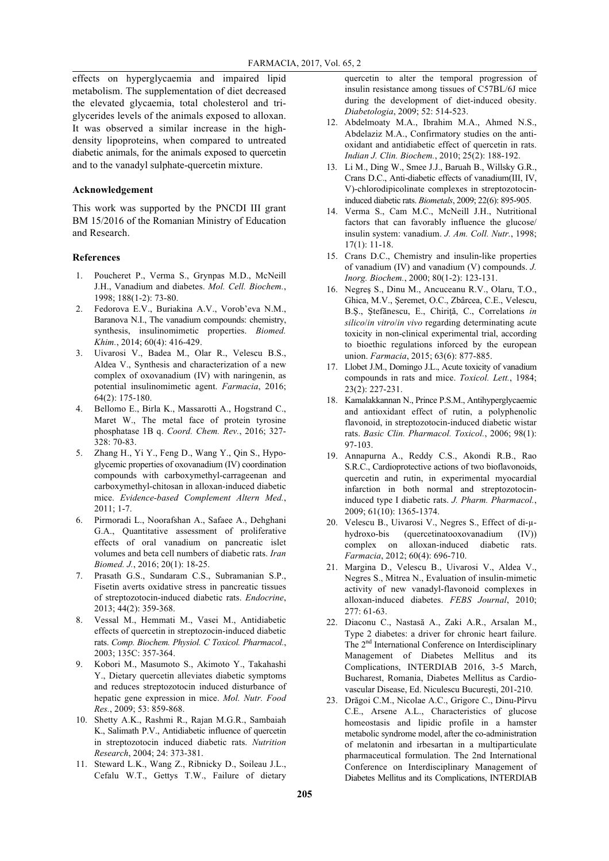effects on hyperglycaemia and impaired lipid metabolism. The supplementation of diet decreased the elevated glycaemia, total cholesterol and triglycerides levels of the animals exposed to alloxan. It was observed a similar increase in the highdensity lipoproteins, when compared to untreated diabetic animals, for the animals exposed to quercetin and to the vanadyl sulphate-quercetin mixture.

## **Acknowledgement**

This work was supported by the PNCDI III grant BM 15/2016 of the Romanian Ministry of Education and Research.

#### **References**

- 1. Poucheret P., Verma S., Grynpas M.D., McNeill J.H., Vanadium and diabetes. *Mol. Cell. Biochem.*, 1998; 188(1-2): 73-80.
- 2. Fedorova E.V., Buriakina A.V., Vorob'eva N.M., Baranova N.I., The vanadium compounds: chemistry, synthesis, insulinomimetic properties. *Biomed. Khim.*, 2014; 60(4): 416-429.
- 3. Uivarosi V., Badea M., Olar R., Velescu B.S., Aldea V., Synthesis and characterization of a new complex of oxovanadium (IV) with naringenin, as potential insulinomimetic agent. *Farmacia*, 2016; 64(2): 175-180.
- 4. Bellomo E., Birla K., Massarotti A., Hogstrand C., Maret W., The metal face of protein tyrosine phosphatase 1B q. *Coord. Chem. Rev.*, 2016; 327- 328: 70-83.
- 5. Zhang H., Yi Y., Feng D., Wang Y., Qin S., Hypoglycemic properties of oxovanadium (IV) coordination compounds with carboxymethyl-carrageenan and carboxymethyl-chitosan in alloxan-induced diabetic mice. *Evidence-based Complement Altern Med.*, 2011; 1-7.
- 6. Pirmoradi L., Noorafshan A., Safaee A., Dehghani G.A., Quantitative assessment of proliferative effects of oral vanadium on pancreatic islet volumes and beta cell numbers of diabetic rats. *Iran Biomed. J.*, 2016; 20(1): 18-25.
- 7. Prasath G.S., Sundaram C.S., Subramanian S.P., Fisetin averts oxidative stress in pancreatic tissues of streptozotocin-induced diabetic rats. *Endocrine*, 2013; 44(2): 359-368.
- 8. Vessal M., Hemmati M., Vasei M., Antidiabetic effects of quercetin in streptozocin-induced diabetic rats. *Comp. Biochem. Physiol. C Toxicol. Pharmacol.*, 2003; 135C: 357-364.
- 9. Kobori M., Masumoto S., Akimoto Y., Takahashi Y., Dietary quercetin alleviates diabetic symptoms and reduces streptozotocin induced disturbance of hepatic gene expression in mice. *Mol. Nutr. Food Res.*, 2009; 53: 859-868.
- 10. Shetty A.K., Rashmi R., Rajan M.G.R., Sambaiah K., Salimath P.V., Antidiabetic influence of quercetin in streptozotocin induced diabetic rats. *Nutrition Research*, 2004; 24: 373-381.
- 11. Steward L.K., Wang Z., Ribnicky D., Soileau J.L., Cefalu W.T., Gettys T.W., Failure of dietary

quercetin to alter the temporal progression of insulin resistance among tissues of C57BL/6J mice during the development of diet-induced obesity. *Diabetologia*, 2009; 52: 514-523.

- 12. Abdelmoaty M.A., Ibrahim M.A., Ahmed N.S., Abdelaziz M.A., Confirmatory studies on the antioxidant and antidiabetic effect of quercetin in rats. *Indian J. Clin. Biochem.*, 2010; 25(2): 188-192.
- 13. Li M., Ding W., Smee J.J., Baruah B., Willsky G.R., Crans D.C., Anti-diabetic effects of vanadium(III, IV, V)-chlorodipicolinate complexes in streptozotocininduced diabetic rats. *Biometals*, 2009; 22(6): 895-905.
- 14. Verma S., Cam M.C., McNeill J.H., Nutritional factors that can favorably influence the glucose/ insulin system: vanadium. *J. Am. Coll. Nutr.*, 1998; 17(1): 11-18.
- 15. Crans D.C., Chemistry and insulin-like properties of vanadium (IV) and vanadium (V) compounds. *J. Inorg. Biochem.*, 2000; 80(1-2): 123-131.
- 16. Negreş S., Dinu M., Ancuceanu R.V., Olaru, T.O., Ghica, M.V., Şeremet, O.C., Zbârcea, C.E., Velescu, B.Ş., Ştefănescu, E., Chiriţă, C., Correlations *in silico*/*in vitro*/*in vivo* regarding determinating acute toxicity in non-clinical experimental trial, according to bioethic regulations inforced by the european union. *Farmacia*, 2015; 63(6): 877-885.
- 17. Llobet J.M., Domingo J.L., Acute toxicity of vanadium compounds in rats and mice. *Toxicol. Lett.*, 1984; 23(2): 227-231.
- 18. Kamalakkannan N., Prince P.S.M., Antihyperglycaemic and antioxidant effect of rutin, a polyphenolic flavonoid, in streptozotocin-induced diabetic wistar rats. *Basic Clin. Pharmacol. Toxicol.*, 2006; 98(1): 97-103.
- 19. Annapurna A., Reddy C.S., Akondi R.B., Rao S.R.C., Cardioprotective actions of two bioflavonoids, quercetin and rutin, in experimental myocardial infarction in both normal and streptozotocininduced type I diabetic rats. *J. Pharm. Pharmacol.*, 2009; 61(10): 1365-1374.
- 20. Velescu B., Uivarosi V., Negres S., Effect of di-µhydroxo-bis (quercetinatooxovanadium (IV)) complex on alloxan-induced diabetic rats. *Farmacia*, 2012; 60(4): 696-710.
- 21. Margina D., Velescu B., Uivarosi V., Aldea V., Negres S., Mitrea N., Evaluation of insulin-mimetic activity of new vanadyl-flavonoid complexes in alloxan-induced diabetes. *FEBS Journal*, 2010; 277: 61-63.
- 22. Diaconu C., Nastasă A., Zaki A.R., Arsalan M., Type 2 diabetes: a driver for chronic heart failure. The 2<sup>nd</sup> International Conference on Interdisciplinary Management of Diabetes Mellitus and its Complications, INTERDIAB 2016, 3-5 March, Bucharest, Romania, Diabetes Mellitus as Cardiovascular Disease, Ed. Niculescu Bucureşti, 201-210.
- 23. Drăgoi C.M., Nicolae A.C., Grigore C., Dinu-Pîrvu C.E., Arsene A.L., Characteristics of glucose homeostasis and lipidic profile in a hamster metabolic syndrome model, after the co-administration of melatonin and irbesartan in a multiparticulate pharmaceutical formulation. The 2nd International Conference on Interdisciplinary Management of Diabetes Mellitus and its Complications, INTERDIAB